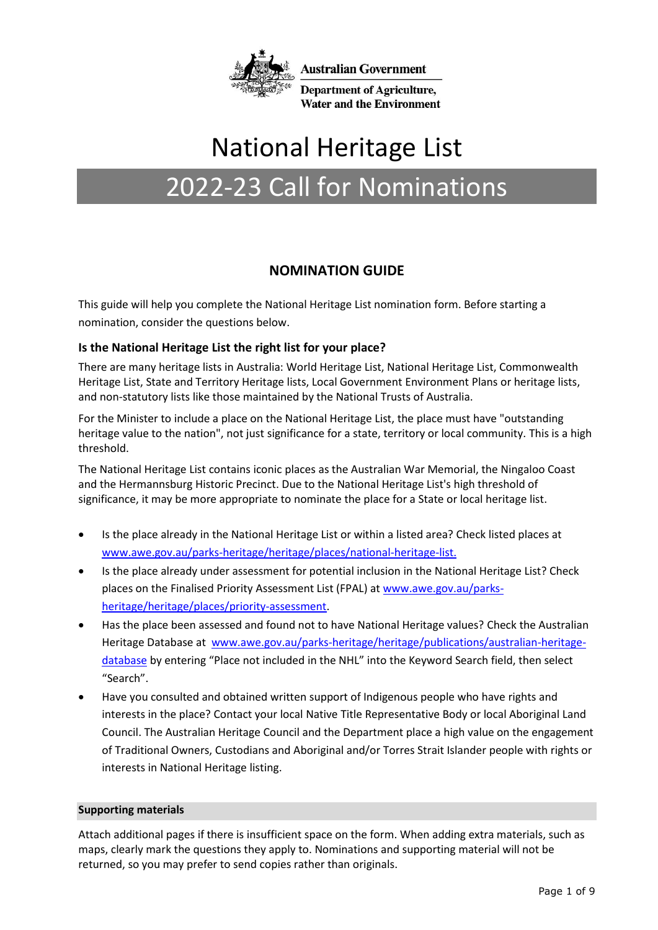

# National Heritage List

# 2022-23 Call for Nominations

## **NOMINATION GUIDE**

This guide will help you complete the National Heritage List nomination form. Before starting a nomination, consider the questions below.

## **Is the National Heritage List the right list for your place?**

There are many heritage lists in Australia: World Heritage List, National Heritage List, Commonwealth Heritage List, State and Territory Heritage lists, Local Government Environment Plans or heritage lists, and non-statutory lists like those maintained by the National Trusts of Australia.

For the Minister to include a place on the National Heritage List, the place must have "outstanding heritage value to the nation", not just significance for a state, territory or local community. This is a high threshold.

The National Heritage List contains iconic places as the Australian War Memorial, the Ningaloo Coast and the Hermannsburg Historic Precinct. Due to the National Heritage List's high threshold of significance, it may be more appropriate to nominate the place for a State or local heritage list.

- Is the place already in the National Heritage List or within a listed area? Check listed places at www.awe.gov.au/parks-heritage/heritage/places/national-heritage-list.
- Is the place already under assessment for potential inclusion in the National Heritage List? Check places on the Finalised Priority Assessment List (FPAL) at www[.awe.gov.au/parks](http://www.awe.gov.au/parks-heritage/heritage/places/priority-assessment)[heritage/heritage/places/priority-assessment.](http://www.awe.gov.au/parks-heritage/heritage/places/priority-assessment)
- Has the place been assessed and found not to have National Heritage values? Check the Australian Heritage Database at [www.awe.gov.au/parks-heritage/heritage/publications/australian-heritage](http://www.awe.gov.au/parks-heritage/heritage/publications/australian-heritage-database)[database](http://www.awe.gov.au/parks-heritage/heritage/publications/australian-heritage-database) by entering "Place not included in the NHL" into the Keyword Search field, then select "Search".
- Have you consulted and obtained written support of Indigenous people who have rights and interests in the place? Contact your local Native Title Representative Body or local Aboriginal Land Council. The Australian Heritage Council and the Department place a high value on the engagement of Traditional Owners, Custodians and Aboriginal and/or Torres Strait Islander people with rights or interests in National Heritage listing.

#### **Supporting materials**

Attach additional pages if there is insufficient space on the form. When adding extra materials, such as maps, clearly mark the questions they apply to. Nominations and supporting material will not be returned, so you may prefer to send copies rather than originals.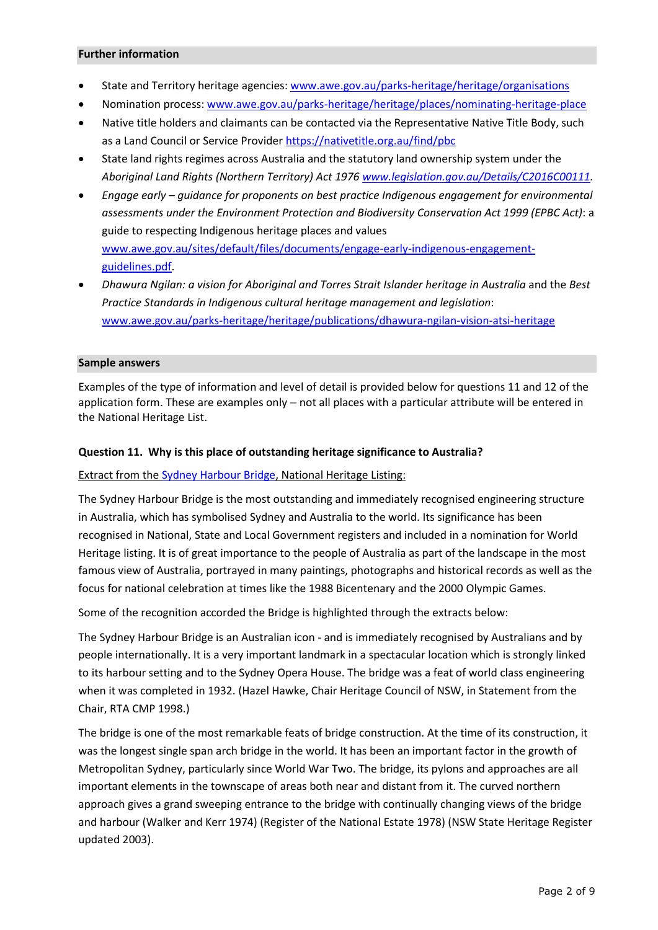#### **Further information**

- State and Territory heritage agencies: www.awe.gov.au/parks-heritage/heritage/organisations
- Nomination process[: www.awe.gov.au/parks-heritage/heritage/places/nominating-heritage-place](http://www.awe.gov.au/parks-heritage/heritage/places/nominating-heritage-place)
- Native title holders and claimants can be contacted via the Representative Native Title Body, such as a Land Council or Service Provider <https://nativetitle.org.au/find/pbc>
- State land rights regimes across Australia and the statutory land ownership system under the *Aboriginal Land Rights (Northern Territory) Act 1976 [www.legislation.gov.au/Details/C2016C00111.](http://www.legislation.gov.au/Details/C2016C00111)*
- *Engage early – guidance for proponents on best practice Indigenous engagement for environmental assessments under the Environment Protection and Biodiversity Conservation Act 1999 (EPBC Act)*: a guide to respecting Indigenous heritage places and values [www.awe.gov.au/sites/default/files/documents/engage-early-indigenous-engagement](http://www.awe.gov.au/sites/default/files/documents/engage-early-indigenous-engagement-guidelines.pdf)[guidelines.pdf.](http://www.awe.gov.au/sites/default/files/documents/engage-early-indigenous-engagement-guidelines.pdf)
- *Dhawura Ngilan: a vision for Aboriginal and Torres Strait Islander heritage in Australia* and the *Best Practice Standards in Indigenous cultural heritage management and legislation*: [www.awe.gov.au/parks-heritage/heritage/publications/dhawura-ngilan-vision-atsi-heritage](http://www.awe.gov.au/parks-heritage/heritage/publications/dhawura-ngilan-vision-atsi-heritage)

#### **Sample answers**

Examples of the type of information and level of detail is provided below for questions 11 and 12 of the application form. These are examples only – not all places with a particular attribute will be entered in the National Heritage List.

#### **Question 11. Why is this place of outstanding heritage significance to Australia?**

Extract from the [Sydney Harbour Bridge,](http://www.environment.gov.au/cgi-bin/ahdb/search.pl?mode=place_detail;place_id=105888) National Heritage Listing:

The Sydney Harbour Bridge is the most outstanding and immediately recognised engineering structure in Australia, which has symbolised Sydney and Australia to the world. Its significance has been recognised in National, State and Local Government registers and included in a nomination for World Heritage listing. It is of great importance to the people of Australia as part of the landscape in the most famous view of Australia, portrayed in many paintings, photographs and historical records as well as the focus for national celebration at times like the 1988 Bicentenary and the 2000 Olympic Games.

Some of the recognition accorded the Bridge is highlighted through the extracts below:

The Sydney Harbour Bridge is an Australian icon - and is immediately recognised by Australians and by people internationally. It is a very important landmark in a spectacular location which is strongly linked to its harbour setting and to the Sydney Opera House. The bridge was a feat of world class engineering when it was completed in 1932. (Hazel Hawke, Chair Heritage Council of NSW, in Statement from the Chair, RTA CMP 1998.)

The bridge is one of the most remarkable feats of bridge construction. At the time of its construction, it was the longest single span arch bridge in the world. It has been an important factor in the growth of Metropolitan Sydney, particularly since World War Two. The bridge, its pylons and approaches are all important elements in the townscape of areas both near and distant from it. The curved northern approach gives a grand sweeping entrance to the bridge with continually changing views of the bridge and harbour (Walker and Kerr 1974) (Register of the National Estate 1978) (NSW State Heritage Register updated 2003).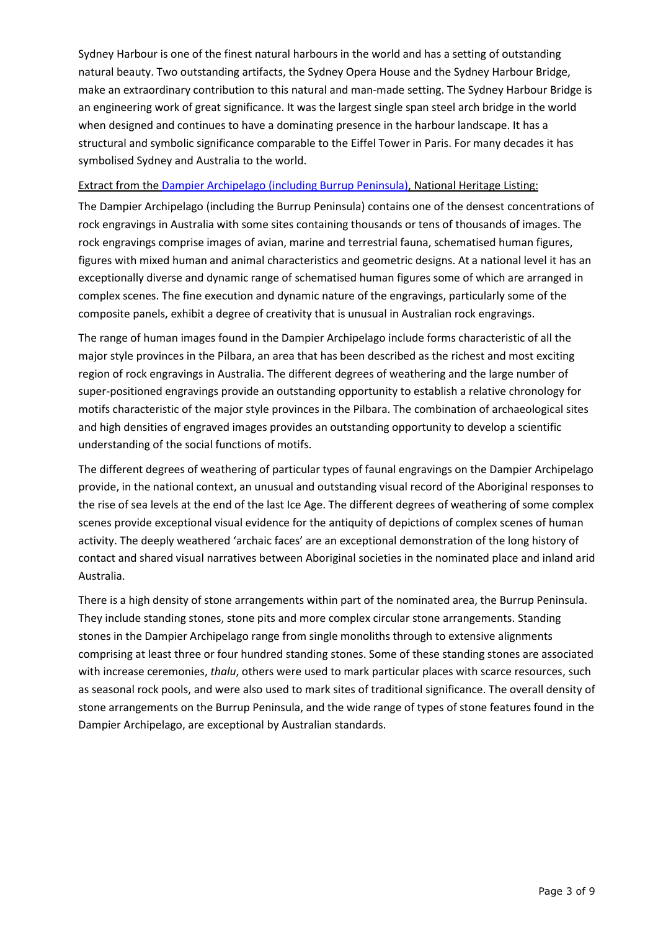Sydney Harbour is one of the finest natural harbours in the world and has a setting of outstanding natural beauty. Two outstanding artifacts, the Sydney Opera House and the Sydney Harbour Bridge, make an extraordinary contribution to this natural and man-made setting. The Sydney Harbour Bridge is an engineering work of great significance. It was the largest single span steel arch bridge in the world when designed and continues to have a dominating presence in the harbour landscape. It has a structural and symbolic significance comparable to the Eiffel Tower in Paris. For many decades it has symbolised Sydney and Australia to the world.

#### Extract from the [Dampier Archipelago \(including Burrup Peninsula\),](http://www.environment.gov.au/cgi-bin/ahdb/search.pl?mode=place_detail;search=place_name%3DDampier%2520archipelago%3Bkeyword_PD%3Don%3Bkeyword_SS%3Don%3Bkeyword_PH%3Don%3Blatitude_1dir%3DS%3Blongitude_1dir%3DE%3Blongitude_2dir%3DE%3Blatitude_2dir%3DS%3Bin_region%3Dpart;place_id=105727) National Heritage Listing:

The Dampier Archipelago (including the Burrup Peninsula) contains one of the densest concentrations of rock engravings in Australia with some sites containing thousands or tens of thousands of images. The rock engravings comprise images of avian, marine and terrestrial fauna, schematised human figures, figures with mixed human and animal characteristics and geometric designs. At a national level it has an exceptionally diverse and dynamic range of schematised human figures some of which are arranged in complex scenes. The fine execution and dynamic nature of the engravings, particularly some of the composite panels, exhibit a degree of creativity that is unusual in Australian rock engravings.

The range of human images found in the Dampier Archipelago include forms characteristic of all the major style provinces in the Pilbara, an area that has been described as the richest and most exciting region of rock engravings in Australia. The different degrees of weathering and the large number of super-positioned engravings provide an outstanding opportunity to establish a relative chronology for motifs characteristic of the major style provinces in the Pilbara. The combination of archaeological sites and high densities of engraved images provides an outstanding opportunity to develop a scientific understanding of the social functions of motifs.

The different degrees of weathering of particular types of faunal engravings on the Dampier Archipelago provide, in the national context, an unusual and outstanding visual record of the Aboriginal responses to the rise of sea levels at the end of the last Ice Age. The different degrees of weathering of some complex scenes provide exceptional visual evidence for the antiquity of depictions of complex scenes of human activity. The deeply weathered 'archaic faces' are an exceptional demonstration of the long history of contact and shared visual narratives between Aboriginal societies in the nominated place and inland arid Australia.

There is a high density of stone arrangements within part of the nominated area, the Burrup Peninsula. They include standing stones, stone pits and more complex circular stone arrangements. Standing stones in the Dampier Archipelago range from single monoliths through to extensive alignments comprising at least three or four hundred standing stones. Some of these standing stones are associated with increase ceremonies, *thalu*, others were used to mark particular places with scarce resources, such as seasonal rock pools, and were also used to mark sites of traditional significance. The overall density of stone arrangements on the Burrup Peninsula, and the wide range of types of stone features found in the Dampier Archipelago, are exceptional by Australian standards.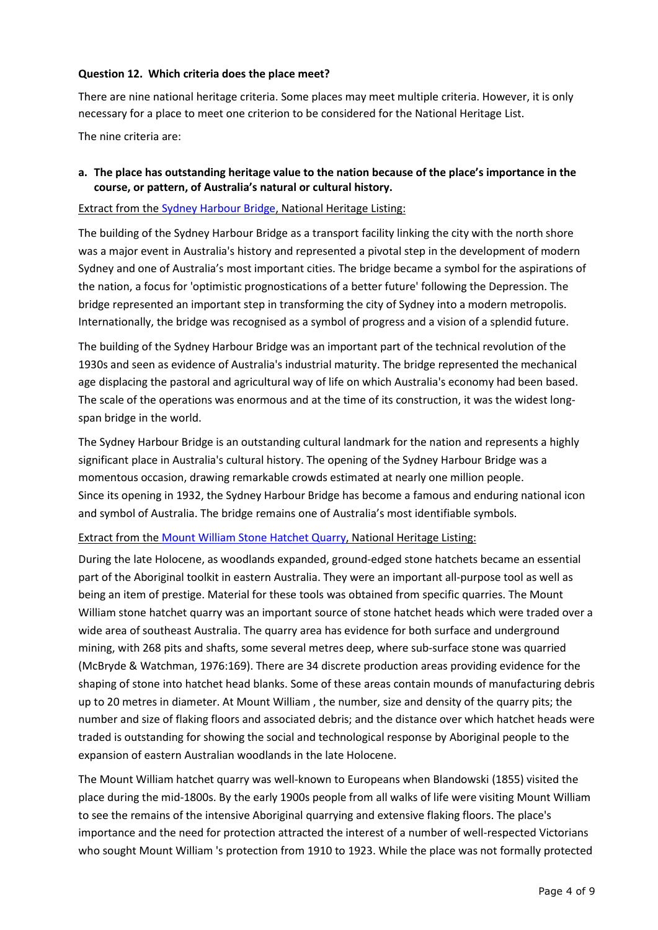#### **Question 12. Which criteria does the place meet?**

There are nine national heritage criteria. Some places may meet multiple criteria. However, it is only necessary for a place to meet one criterion to be considered for the National Heritage List.

The nine criteria are:

## **a. The place has outstanding heritage value to the nation because of the place's importance in the course, or pattern, of Australia's natural or cultural history.**

#### Extract from the [Sydney Harbour Bridge,](http://www.environment.gov.au/cgi-bin/ahdb/search.pl?mode=place_detail;place_id=105888) National Heritage Listing:

The building of the Sydney Harbour Bridge as a transport facility linking the city with the north shore was a major event in Australia's history and represented a pivotal step in the development of modern Sydney and one of Australia's most important cities. The bridge became a symbol for the aspirations of the nation, a focus for 'optimistic prognostications of a better future' following the Depression. The bridge represented an important step in transforming the city of Sydney into a modern metropolis. Internationally, the bridge was recognised as a symbol of progress and a vision of a splendid future.

The building of the Sydney Harbour Bridge was an important part of the technical revolution of the 1930s and seen as evidence of Australia's industrial maturity. The bridge represented the mechanical age displacing the pastoral and agricultural way of life on which Australia's economy had been based. The scale of the operations was enormous and at the time of its construction, it was the widest longspan bridge in the world.

The Sydney Harbour Bridge is an outstanding cultural landmark for the nation and represents a highly significant place in Australia's cultural history. The opening of the Sydney Harbour Bridge was a momentous occasion, drawing remarkable crowds estimated at nearly one million people. Since its opening in 1932, the Sydney Harbour Bridge has become a famous and enduring national icon and symbol of Australia. The bridge remains one of Australia's most identifiable symbols.

## Extract from th[e Mount William Stone Hatchet Quarry,](http://www.environment.gov.au/cgi-bin/ahdb/search.pl?mode=place_detail;search=place_name%3DMount%2520William%2520Stone%2520Hatchet%2520Quarry%2520%3Bkeyword_PD%3Don%3Bkeyword_SS%3Don%3Bkeyword_PH%3Don%3Blatitude_1dir%3DS%3Blongitude_1dir%3DE%3Blongitude_2dir%3DE%3Blatitude_2dir%3DS%3Bin_region%3Dpart;place_id=105936) National Heritage Listing:

During the late Holocene, as woodlands expanded, ground-edged stone hatchets became an essential part of the Aboriginal toolkit in eastern Australia. They were an important all-purpose tool as well as being an item of prestige. Material for these tools was obtained from specific quarries. The Mount William stone hatchet quarry was an important source of stone hatchet heads which were traded over a wide area of southeast Australia. The quarry area has evidence for both surface and underground mining, with 268 pits and shafts, some several metres deep, where sub-surface stone was quarried (McBryde & Watchman, 1976:169). There are 34 discrete production areas providing evidence for the shaping of stone into hatchet head blanks. Some of these areas contain mounds of manufacturing debris up to 20 metres in diameter. At Mount William , the number, size and density of the quarry pits; the number and size of flaking floors and associated debris; and the distance over which hatchet heads were traded is outstanding for showing the social and technological response by Aboriginal people to the expansion of eastern Australian woodlands in the late Holocene.

The Mount William hatchet quarry was well-known to Europeans when Blandowski (1855) visited the place during the mid-1800s. By the early 1900s people from all walks of life were visiting Mount William to see the remains of the intensive Aboriginal quarrying and extensive flaking floors. The place's importance and the need for protection attracted the interest of a number of well-respected Victorians who sought Mount William 's protection from 1910 to 1923. While the place was not formally protected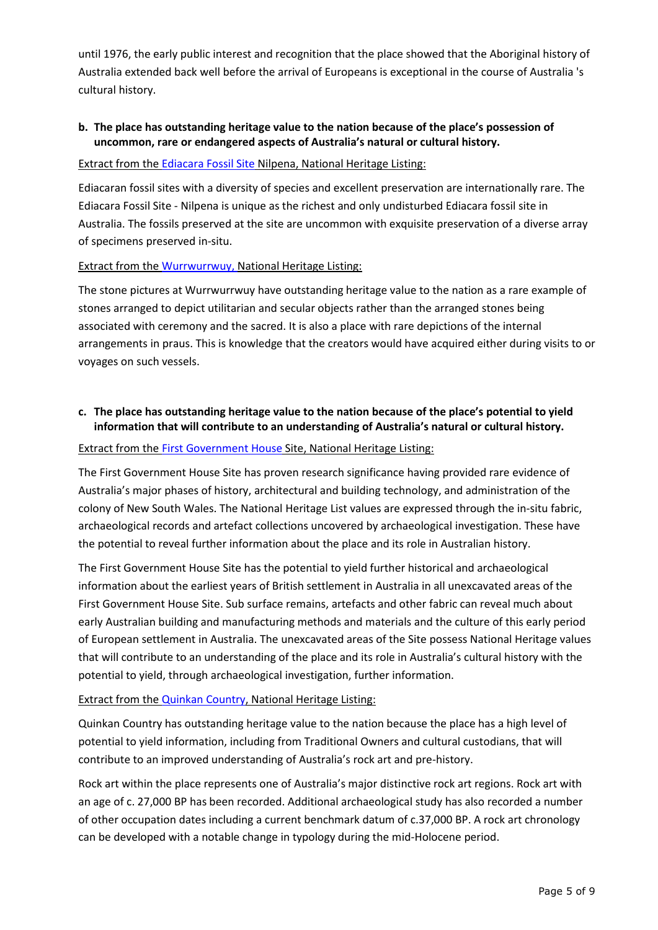until 1976, the early public interest and recognition that the place showed that the Aboriginal history of Australia extended back well before the arrival of Europeans is exceptional in the course of Australia 's cultural history.

## **b. The place has outstanding heritage value to the nation because of the place's possession of uncommon, rare or endangered aspects of Australia's natural or cultural history.**

#### Extract from the [Ediacara Fossil Site](http://www.environment.gov.au/cgi-bin/ahdb/search.pl?mode=place_detail;search=place_name%3Dediacara%3Bkeyword_PD%3Don%3Bkeyword_SS%3Don%3Bkeyword_PH%3Don%3Blatitude_1dir%3DS%3Blongitude_1dir%3DE%3Blongitude_2dir%3DE%3Blatitude_2dir%3DS%3Bin_region%3Dpart;place_id=105880) Nilpena, National Heritage Listing:

Ediacaran fossil sites with a diversity of species and excellent preservation are internationally rare. The Ediacara Fossil Site - Nilpena is unique as the richest and only undisturbed Ediacara fossil site in Australia. The fossils preserved at the site are uncommon with exquisite preservation of a diverse array of specimens preserved in-situ.

## Extract from the [Wurrwurrwuy,](http://www.environment.gov.au/cgi-bin/ahdb/search.pl?mode=place_detail;search=place_id%3D106088%3Bkeyword_PD%3Don%3Bkeyword_SS%3Don%3Bkeyword_PH%3Don%3Blatitude_1dir%3DS%3Blongitude_1dir%3DE%3Blongitude_2dir%3DE%3Blatitude_2dir%3DS%3Bin_region%3Dpart;place_id=106088) National Heritage Listing:

The stone pictures at Wurrwurrwuy have outstanding heritage value to the nation as a rare example of stones arranged to depict utilitarian and secular objects rather than the arranged stones being associated with ceremony and the sacred. It is also a place with rare depictions of the internal arrangements in praus. This is knowledge that the creators would have acquired either during visits to or voyages on such vessels.

## **c. The place has outstanding heritage value to the nation because of the place's potential to yield information that will contribute to an understanding of Australia's natural or cultural history.**

#### Extract from the [First Government House](http://www.environment.gov.au/cgi-bin/ahdb/search.pl?mode=place_detail;search=place_name%3Dfirst%2520government%2520house%3Bkeyword_PD%3Don%3Bkeyword_SS%3Don%3Bkeyword_PH%3Don%3Blatitude_1dir%3DS%3Blongitude_1dir%3DE%3Blongitude_2dir%3DE%3Blatitude_2dir%3DS%3Bin_region%3Dpart;place_id=105761) Site, National Heritage Listing:

The First Government House Site has proven research significance having provided rare evidence of Australia's major phases of history, architectural and building technology, and administration of the colony of New South Wales. The National Heritage List values are expressed through the in-situ fabric, archaeological records and artefact collections uncovered by archaeological investigation. These have the potential to reveal further information about the place and its role in Australian history.

The First Government House Site has the potential to yield further historical and archaeological information about the earliest years of British settlement in Australia in all unexcavated areas of the First Government House Site. Sub surface remains, artefacts and other fabric can reveal much about early Australian building and manufacturing methods and materials and the culture of this early period of European settlement in Australia. The unexcavated areas of the Site possess National Heritage values that will contribute to an understanding of the place and its role in Australia's cultural history with the potential to yield, through archaeological investigation, further information.

## Extract from the [Quinkan](http://www.environment.gov.au/cgi-bin/ahdb/search.pl?mode=place_detail;search=place_name%3DQuinkan%2520Country%2520%3Bkeyword_PD%3Don%3Bkeyword_SS%3Don%3Bkeyword_PH%3Don%3Blatitude_1dir%3DS%3Blongitude_1dir%3DE%3Blongitude_2dir%3DE%3Blatitude_2dir%3DS%3Bin_region%3Dpart;place_id=106262) Country, National Heritage Listing:

Quinkan Country has outstanding heritage value to the nation because the place has a high level of potential to yield information, including from Traditional Owners and cultural custodians, that will contribute to an improved understanding of Australia's rock art and pre-history.

Rock art within the place represents one of Australia's major distinctive rock art regions. Rock art with an age of c. 27,000 BP has been recorded. Additional archaeological study has also recorded a number of other occupation dates including a current benchmark datum of c.37,000 BP. A rock art chronology can be developed with a notable change in typology during the mid-Holocene period.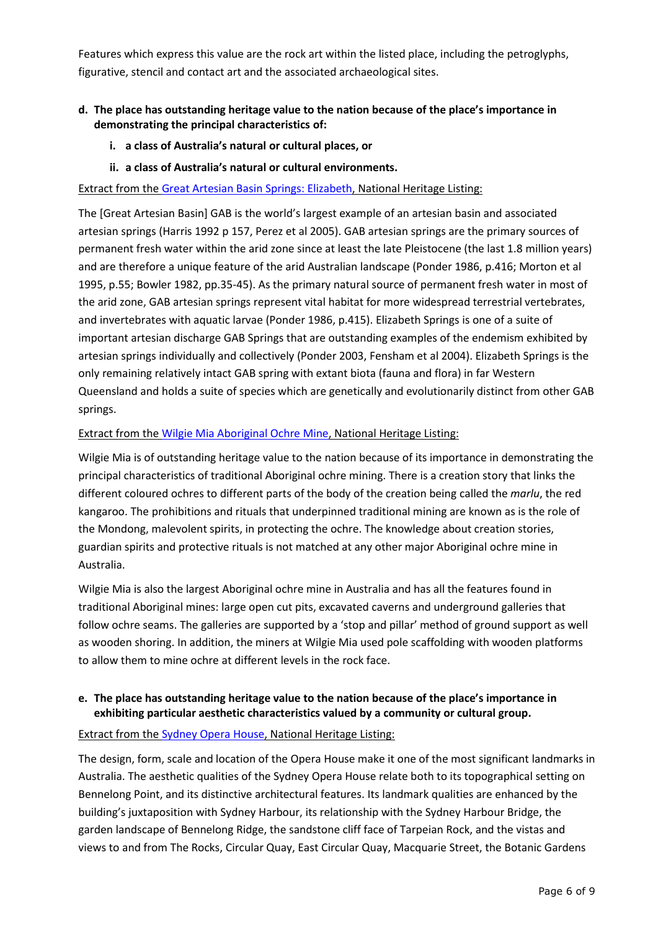Features which express this value are the rock art within the listed place, including the petroglyphs, figurative, stencil and contact art and the associated archaeological sites.

## **d. The place has outstanding heritage value to the nation because of the place's importance in demonstrating the principal characteristics of:**

- **i. a class of Australia's natural or cultural places, or**
- **ii. a class of Australia's natural or cultural environments.**

Extract from the [Great Artesian Basin Springs: Elizabeth,](http://www.environment.gov.au/cgi-bin/ahdb/search.pl?mode=place_detail;search=place_name%3Dgreat%2520artesian%2520basin%3Bkeyword_PD%3Don%3Bkeyword_SS%3Don%3Bkeyword_PH%3Don%3Blatitude_1dir%3DS%3Blongitude_1dir%3DE%3Blongitude_2dir%3DE%3Blatitude_2dir%3DS%3Bin_region%3Dpart;place_id=105821) National Heritage Listing:

The [Great Artesian Basin] GAB is the world's largest example of an artesian basin and associated artesian springs (Harris 1992 p 157, Perez et al 2005). GAB artesian springs are the primary sources of permanent fresh water within the arid zone since at least the late Pleistocene (the last 1.8 million years) and are therefore a unique feature of the arid Australian landscape (Ponder 1986, p.416; Morton et al 1995, p.55; Bowler 1982, pp.35-45). As the primary natural source of permanent fresh water in most of the arid zone, GAB artesian springs represent vital habitat for more widespread terrestrial vertebrates, and invertebrates with aquatic larvae (Ponder 1986, p.415). Elizabeth Springs is one of a suite of important artesian discharge GAB Springs that are outstanding examples of the endemism exhibited by artesian springs individually and collectively (Ponder 2003, Fensham et al 2004). Elizabeth Springs is the only remaining relatively intact GAB spring with extant biota (fauna and flora) in far Western Queensland and holds a suite of species which are genetically and evolutionarily distinct from other GAB springs.

#### Extract from the [Wilgie Mia Aboriginal Ochre Mine,](http://www.environment.gov.au/cgi-bin/ahdb/search.pl?mode=place_detail;search=place_name%3Dwilgie%2520mia%3Bkeyword_PD%3Don%3Bkeyword_SS%3Don%3Bkeyword_PH%3Don%3Blatitude_1dir%3DS%3Blongitude_1dir%3DE%3Blongitude_2dir%3DE%3Blatitude_2dir%3DS%3Bin_region%3Dpart;place_id=106044) National Heritage Listing:

Wilgie Mia is of outstanding heritage value to the nation because of its importance in demonstrating the principal characteristics of traditional Aboriginal ochre mining. There is a creation story that links the different coloured ochres to different parts of the body of the creation being called the *marlu*, the red kangaroo. The prohibitions and rituals that underpinned traditional mining are known as is the role of the Mondong, malevolent spirits, in protecting the ochre. The knowledge about creation stories, guardian spirits and protective rituals is not matched at any other major Aboriginal ochre mine in Australia.

Wilgie Mia is also the largest Aboriginal ochre mine in Australia and has all the features found in traditional Aboriginal mines: large open cut pits, excavated caverns and underground galleries that follow ochre seams. The galleries are supported by a 'stop and pillar' method of ground support as well as wooden shoring. In addition, the miners at Wilgie Mia used pole scaffolding with wooden platforms to allow them to mine ochre at different levels in the rock face.

#### **e. The place has outstanding heritage value to the nation because of the place's importance in exhibiting particular aesthetic characteristics valued by a community or cultural group.**

#### Extract from the [Sydney Opera House,](http://www.environment.gov.au/cgi-bin/ahdb/search.pl?mode=place_detail;search=place_name%3Dsydney%2520opera%3Bkeyword_PD%3Don%3Bkeyword_SS%3Don%3Bkeyword_PH%3Don%3Blatitude_1dir%3DS%3Blongitude_1dir%3DE%3Blongitude_2dir%3DE%3Blatitude_2dir%3DS%3Bin_region%3Dpart;place_id=105738) National Heritage Listing:

The design, form, scale and location of the Opera House make it one of the most significant landmarks in Australia. The aesthetic qualities of the Sydney Opera House relate both to its topographical setting on Bennelong Point, and its distinctive architectural features. Its landmark qualities are enhanced by the building's juxtaposition with Sydney Harbour, its relationship with the Sydney Harbour Bridge, the garden landscape of Bennelong Ridge, the sandstone cliff face of Tarpeian Rock, and the vistas and views to and from The Rocks, Circular Quay, East Circular Quay, Macquarie Street, the Botanic Gardens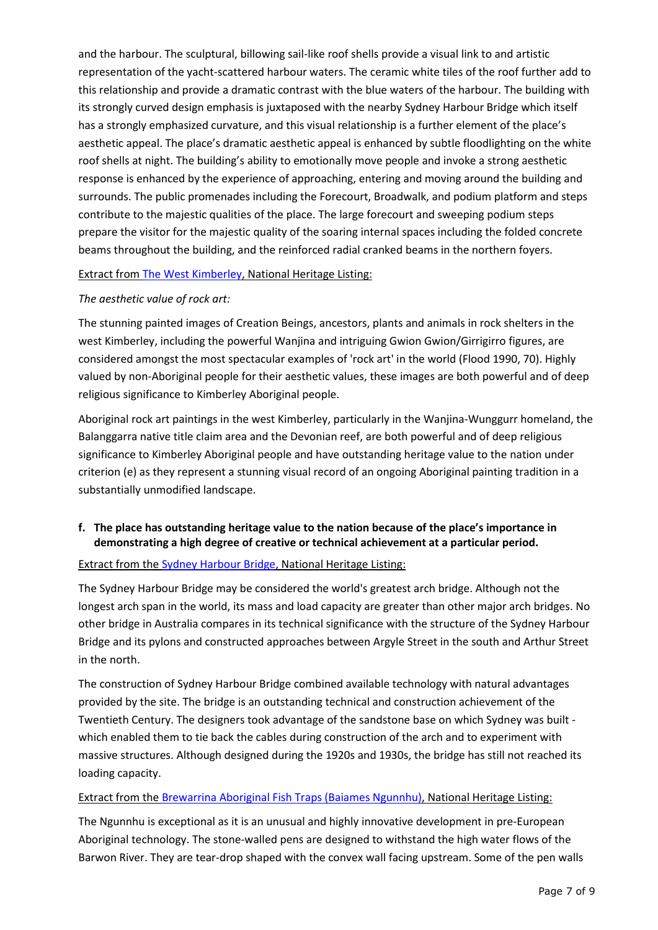and the harbour. The sculptural, billowing sail-like roof shells provide a visual link to and artistic representation of the yacht-scattered harbour waters. The ceramic white tiles of the roof further add to this relationship and provide a dramatic contrast with the blue waters of the harbour. The building with its strongly curved design emphasis is juxtaposed with the nearby Sydney Harbour Bridge which itself has a strongly emphasized curvature, and this visual relationship is a further element of the place's aesthetic appeal. The place's dramatic aesthetic appeal is enhanced by subtle floodlighting on the white roof shells at night. The building's ability to emotionally move people and invoke a strong aesthetic response is enhanced by the experience of approaching, entering and moving around the building and surrounds. The public promenades including the Forecourt, Broadwalk, and podium platform and steps contribute to the majestic qualities of the place. The large forecourt and sweeping podium steps prepare the visitor for the majestic quality of the soaring internal spaces including the folded concrete beams throughout the building, and the reinforced radial cranked beams in the northern foyers.

#### Extract from The [West Kimberley,](http://www.environment.gov.au/cgi-bin/ahdb/search.pl?mode=place_detail;search=place_name%3DThe%2520West%2520Kimberley%2520%3Bkeyword_PD%3Don%3Bkeyword_SS%3Don%3Bkeyword_PH%3Don%3Blatitude_1dir%3DS%3Blongitude_1dir%3DE%3Blongitude_2dir%3DE%3Blatitude_2dir%3DS%3Bin_region%3Dpart;place_id=106063) National Heritage Listing:

#### *The aesthetic value of rock art:*

The stunning painted images of Creation Beings, ancestors, plants and animals in rock shelters in the west Kimberley, including the powerful Wanjina and intriguing Gwion Gwion/Girrigirro figures, are considered amongst the most spectacular examples of 'rock art' in the world (Flood 1990, 70). Highly valued by non-Aboriginal people for their aesthetic values, these images are both powerful and of deep religious significance to Kimberley Aboriginal people.

Aboriginal rock art paintings in the west Kimberley, particularly in the Wanjina-Wunggurr homeland, the Balanggarra native title claim area and the Devonian reef, are both powerful and of deep religious significance to Kimberley Aboriginal people and have outstanding heritage value to the nation under criterion (e) as they represent a stunning visual record of an ongoing Aboriginal painting tradition in a substantially unmodified landscape.

## **f. The place has outstanding heritage value to the nation because of the place's importance in demonstrating a high degree of creative or technical achievement at a particular period.**

## Extract from the [Sydney Harbour Bridge,](http://www.environment.gov.au/cgi-bin/ahdb/search.pl?mode=place_detail;search=place_name%3Dharbour%2520bridge%3Bkeyword_PD%3Don%3Bkeyword_SS%3Don%3Bkeyword_PH%3Don%3Blatitude_1dir%3DS%3Blongitude_1dir%3DE%3Blongitude_2dir%3DE%3Blatitude_2dir%3DS%3Bin_region%3Dpart;place_id=105888) National Heritage Listing:

The Sydney Harbour Bridge may be considered the world's greatest arch bridge. Although not the longest arch span in the world, its mass and load capacity are greater than other major arch bridges. No other bridge in Australia compares in its technical significance with the structure of the Sydney Harbour Bridge and its pylons and constructed approaches between Argyle Street in the south and Arthur Street in the north.

The construction of Sydney Harbour Bridge combined available technology with natural advantages provided by the site. The bridge is an outstanding technical and construction achievement of the Twentieth Century. The designers took advantage of the sandstone base on which Sydney was built which enabled them to tie back the cables during construction of the arch and to experiment with massive structures. Although designed during the 1920s and 1930s, the bridge has still not reached its loading capacity.

## Extract from the [Brewarrina Aboriginal Fish Traps \(Baiames Ngunnhu\),](http://www.environment.gov.au/cgi-bin/ahdb/search.pl?mode=place_detail;search=place_name%3DBrewarrina%2520Aboriginal%2520Fish%2520Traps%2520%2528Baiames%2520Ngunnhu%2529%2520%3Bkeyword_PD%3Don%3Bkeyword_SS%3Don%3Bkeyword_PH%3Don%3Blatitude_1dir%3DS%3Blongitude_1dir%3DE%3Blongitude_2dir%3DE%3Blatitude_2dir%3DS%3Bin_region%3Dpart;place_id=105778) National Heritage Listing:

The Ngunnhu is exceptional as it is an unusual and highly innovative development in pre-European Aboriginal technology. The stone-walled pens are designed to withstand the high water flows of the Barwon River. They are tear-drop shaped with the convex wall facing upstream. Some of the pen walls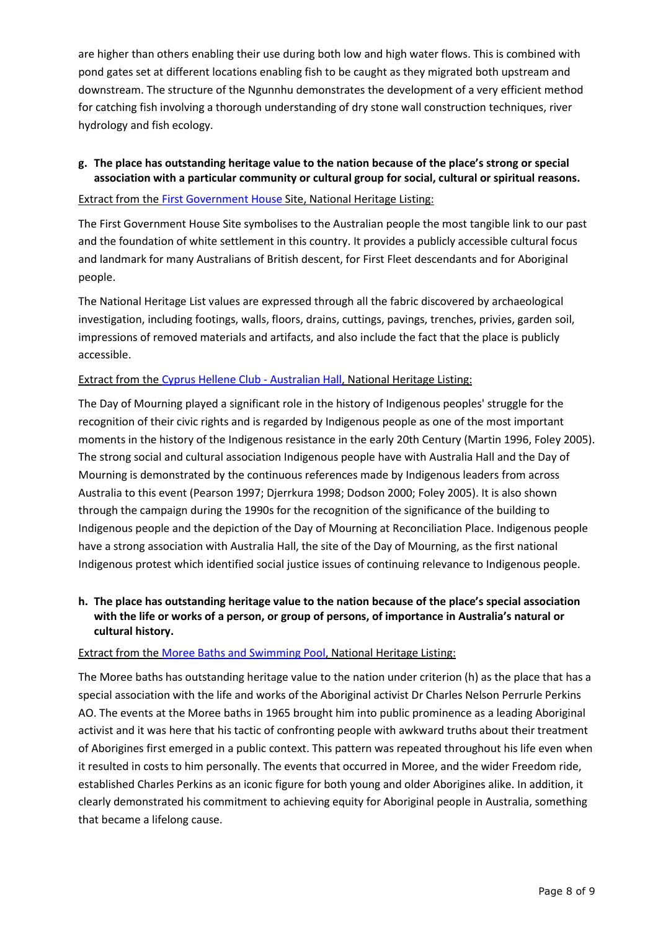are higher than others enabling their use during both low and high water flows. This is combined with pond gates set at different locations enabling fish to be caught as they migrated both upstream and downstream. The structure of the Ngunnhu demonstrates the development of a very efficient method for catching fish involving a thorough understanding of dry stone wall construction techniques, river hydrology and fish ecology.

## **g. The place has outstanding heritage value to the nation because of the place's strong or special association with a particular community or cultural group for social, cultural or spiritual reasons.**

## Extract from th[e First Government House](http://www.environment.gov.au/cgi-bin/ahdb/search.pl?mode=place_detail;search=place_name%3Dfirst%2520government%2520house%3Bkeyword_PD%3Don%3Bkeyword_SS%3Don%3Bkeyword_PH%3Don%3Blatitude_1dir%3DS%3Blongitude_1dir%3DE%3Blongitude_2dir%3DE%3Blatitude_2dir%3DS%3Bin_region%3Dpart;place_id=105761) Site, National Heritage Listing:

The First Government House Site symbolises to the Australian people the most tangible link to our past and the foundation of white settlement in this country. It provides a publicly accessible cultural focus and landmark for many Australians of British descent, for First Fleet descendants and for Aboriginal people.

The National Heritage List values are expressed through all the fabric discovered by archaeological investigation, including footings, walls, floors, drains, cuttings, pavings, trenches, privies, garden soil, impressions of removed materials and artifacts, and also include the fact that the place is publicly accessible.

## Extract from the [Cyprus Hellene Club -](http://www.environment.gov.au/cgi-bin/ahdb/search.pl?mode=place_detail;search=place_name%3DCyprus%2520Hellene%2520Club%2520%3Bkeyword_PD%3Don%3Bkeyword_SS%3Don%3Bkeyword_PH%3Don%3Blatitude_1dir%3DS%3Blongitude_1dir%3DE%3Blongitude_2dir%3DE%3Blatitude_2dir%3DS%3Bin_region%3Dpart;place_id=105937) Australian Hall, National Heritage Listing:

The Day of Mourning played a significant role in the history of Indigenous peoples' struggle for the recognition of their civic rights and is regarded by Indigenous people as one of the most important moments in the history of the Indigenous resistance in the early 20th Century (Martin 1996, Foley 2005). The strong social and cultural association Indigenous people have with Australia Hall and the Day of Mourning is demonstrated by the continuous references made by Indigenous leaders from across Australia to this event (Pearson 1997; Djerrkura 1998; Dodson 2000; Foley 2005). It is also shown through the campaign during the 1990s for the recognition of the significance of the building to Indigenous people and the depiction of the Day of Mourning at Reconciliation Place. Indigenous people have a strong association with Australia Hall, the site of the Day of Mourning, as the first national Indigenous protest which identified social justice issues of continuing relevance to Indigenous people.

## **h. The place has outstanding heritage value to the nation because of the place's special association with the life or works of a person, or group of persons, of importance in Australia's natural or cultural history.**

## Extract from the [Moree Baths and Swimming Pool,](http://www.environment.gov.au/cgi-bin/ahdb/search.pl?mode=place_detail;search=place_name%3Dmoree%2520baths%3Bkeyword_PD%3Don%3Bkeyword_SS%3Don%3Bkeyword_PH%3Don%3Blatitude_1dir%3DS%3Blongitude_1dir%3DE%3Blongitude_2dir%3DE%3Blatitude_2dir%3DS%3Bin_region%3Dpart;place_id=106098) National Heritage Listing:

The Moree baths has outstanding heritage value to the nation under criterion (h) as the place that has a special association with the life and works of the Aboriginal activist Dr Charles Nelson Perrurle Perkins AO. The events at the Moree baths in 1965 brought him into public prominence as a leading Aboriginal activist and it was here that his tactic of confronting people with awkward truths about their treatment of Aborigines first emerged in a public context. This pattern was repeated throughout his life even when it resulted in costs to him personally. The events that occurred in Moree, and the wider Freedom ride, established Charles Perkins as an iconic figure for both young and older Aborigines alike. In addition, it clearly demonstrated his commitment to achieving equity for Aboriginal people in Australia, something that became a lifelong cause.